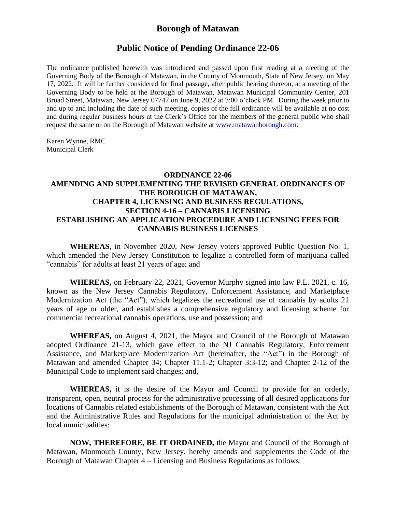## **Borough of Matawan**

## **Public Notice of Pending Ordinance 22-06**

The ordinance published herewith was introduced and passed upon first reading at a meeting of the Governing Body of the Borough of Matawan, in the County of Monmouth, State of New Jersey, on May 17, 2022. It will be further considered for final passage, after public hearing thereon, at a meeting of the Governing Body to be held at the Borough of Matawan, Matawan Municipal Community Center, 201 Broad Street, Matawan, New Jersey 07747 on June 9, 2022 at 7:00 o'clock PM. During the week prior to and up to and including the date of such meeting, copies of the full ordinance will be available at no cost and during regular business hours at the Clerk's Office for the members of the general public who shall request the same or on the Borough of Matawan website at [www.matawanborough.com.](http://www.matawanborough.com/)

Karen Wynne, RMC Municipal Clerk

### **ORDINANCE 22-06 AMENDING AND SUPPLEMENTING THE REVISED GENERAL ORDINANCES OF THE BOROUGH OF MATAWAN, CHAPTER 4, LICENSING AND BUSINESS REGULATIONS, SECTION 4-16 – CANNABIS LICENSING ESTABLISHING AN APPLICATION PROCEDURE AND LICENSING FEES FOR CANNABIS BUSINESS LICENSES**

**WHEREAS**, in November 2020, New Jersey voters approved Public Question No. 1, which amended the New Jersey Constitution to legalize a controlled form of marijuana called "cannabis" for adults at least 21 years of age; and

**WHEREAS,** on February 22, 2021, Governor Murphy signed into law P.L. 2021, c. 16, known as the New Jersey Cannabis Regulatory, Enforcement Assistance, and Marketplace Modernization Act (the "Act"), which legalizes the recreational use of cannabis by adults 21 years of age or older, and establishes a comprehensive regulatory and licensing scheme for commercial recreational cannabis operations, use and possession; and

**WHEREAS,** on August 4, 2021, the Mayor and Council of the Borough of Matawan adopted Ordinance 21-13, which gave effect to the NJ Cannabis Regulatory, Enforcement Assistance, and Marketplace Modernization Act (hereinafter, the "Act") in the Borough of Matawan and amended Chapter 34; Chapter 11.1-2; Chapter 3:3-12; and Chapter 2-12 of the Municipal Code to implement said changes; and,

**WHEREAS,** it is the desire of the Mayor and Council to provide for an orderly, transparent, open, neutral process for the administrative processing of all desired applications for locations of Cannabis related establishments of the Borough of Matawan, consistent with the Act and the Administrative Rules and Regulations for the municipal administration of the Act by local municipalities:

**NOW, THEREFORE, BE IT ORDAINED,** the Mayor and Council of the Borough of Matawan, Monmouth County, New Jersey, hereby amends and supplements the Code of the Borough of Matawan Chapter 4 – Licensing and Business Regulations as follows: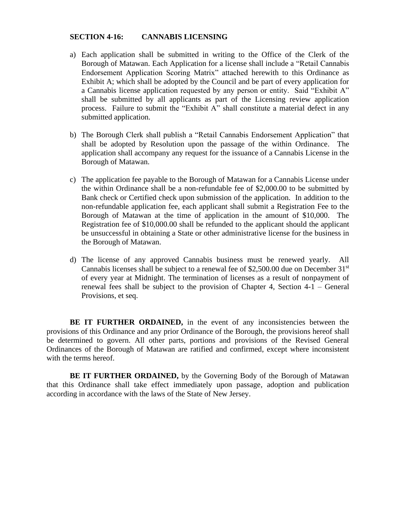#### **SECTION 4-16: CANNABIS LICENSING**

- a) Each application shall be submitted in writing to the Office of the Clerk of the Borough of Matawan. Each Application for a license shall include a "Retail Cannabis Endorsement Application Scoring Matrix" attached herewith to this Ordinance as Exhibit A; which shall be adopted by the Council and be part of every application for a Cannabis license application requested by any person or entity. Said "Exhibit A" shall be submitted by all applicants as part of the Licensing review application process. Failure to submit the "Exhibit A" shall constitute a material defect in any submitted application.
- b) The Borough Clerk shall publish a "Retail Cannabis Endorsement Application" that shall be adopted by Resolution upon the passage of the within Ordinance. The application shall accompany any request for the issuance of a Cannabis License in the Borough of Matawan.
- c) The application fee payable to the Borough of Matawan for a Cannabis License under the within Ordinance shall be a non-refundable fee of \$2,000.00 to be submitted by Bank check or Certified check upon submission of the application. In addition to the non-refundable application fee, each applicant shall submit a Registration Fee to the Borough of Matawan at the time of application in the amount of \$10,000. The Registration fee of \$10,000.00 shall be refunded to the applicant should the applicant be unsuccessful in obtaining a State or other administrative license for the business in the Borough of Matawan.
- d) The license of any approved Cannabis business must be renewed yearly. All Cannabis licenses shall be subject to a renewal fee of \$2,500.00 due on December  $31<sup>st</sup>$ of every year at Midnight. The termination of licenses as a result of nonpayment of renewal fees shall be subject to the provision of Chapter 4, Section 4-1 – General Provisions, et seq.

BE IT FURTHER ORDAINED, in the event of any inconsistencies between the provisions of this Ordinance and any prior Ordinance of the Borough, the provisions hereof shall be determined to govern. All other parts, portions and provisions of the Revised General Ordinances of the Borough of Matawan are ratified and confirmed, except where inconsistent with the terms hereof.

**BE IT FURTHER ORDAINED,** by the Governing Body of the Borough of Matawan that this Ordinance shall take effect immediately upon passage, adoption and publication according in accordance with the laws of the State of New Jersey.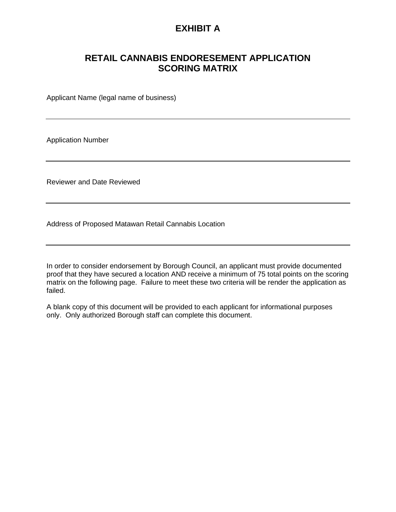## **EXHIBIT A**

# **RETAIL CANNABIS ENDORESEMENT APPLICATION SCORING MATRIX**

Applicant Name (legal name of business)

Application Number

Reviewer and Date Reviewed

Address of Proposed Matawan Retail Cannabis Location

In order to consider endorsement by Borough Council, an applicant must provide documented proof that they have secured a location AND receive a minimum of 75 total points on the scoring matrix on the following page. Failure to meet these two criteria will be render the application as failed.

A blank copy of this document will be provided to each applicant for informational purposes only. Only authorized Borough staff can complete this document.